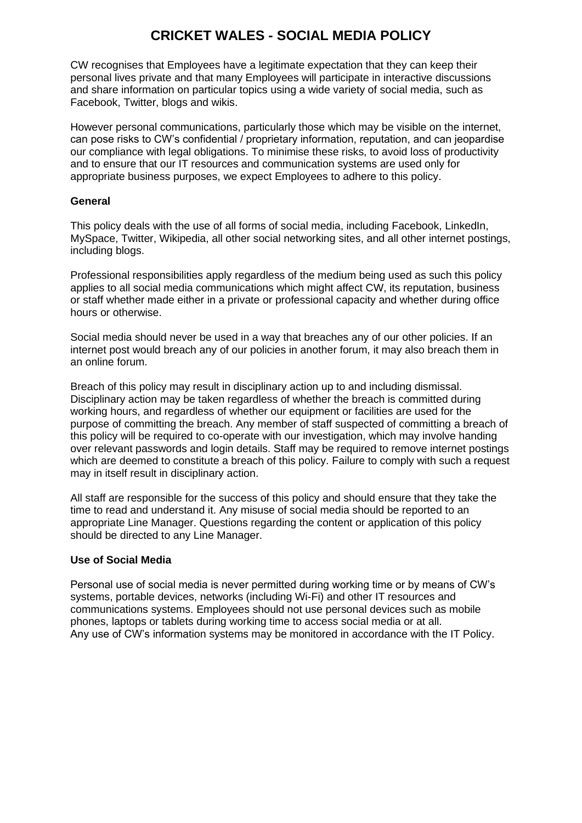# **CRICKET WALES - SOCIAL MEDIA POLICY**

CW recognises that Employees have a legitimate expectation that they can keep their personal lives private and that many Employees will participate in interactive discussions and share information on particular topics using a wide variety of social media, such as Facebook, Twitter, blogs and wikis.

However personal communications, particularly those which may be visible on the internet, can pose risks to CW's confidential / proprietary information, reputation, and can jeopardise our compliance with legal obligations. To minimise these risks, to avoid loss of productivity and to ensure that our IT resources and communication systems are used only for appropriate business purposes, we expect Employees to adhere to this policy.

### **General**

This policy deals with the use of all forms of social media, including Facebook, LinkedIn, MySpace, Twitter, Wikipedia, all other social networking sites, and all other internet postings, including blogs.

Professional responsibilities apply regardless of the medium being used as such this policy applies to all social media communications which might affect CW, its reputation, business or staff whether made either in a private or professional capacity and whether during office hours or otherwise.

Social media should never be used in a way that breaches any of our other policies. If an internet post would breach any of our policies in another forum, it may also breach them in an online forum.

Breach of this policy may result in disciplinary action up to and including dismissal. Disciplinary action may be taken regardless of whether the breach is committed during working hours, and regardless of whether our equipment or facilities are used for the purpose of committing the breach. Any member of staff suspected of committing a breach of this policy will be required to co-operate with our investigation, which may involve handing over relevant passwords and login details. Staff may be required to remove internet postings which are deemed to constitute a breach of this policy. Failure to comply with such a request may in itself result in disciplinary action.

All staff are responsible for the success of this policy and should ensure that they take the time to read and understand it. Any misuse of social media should be reported to an appropriate Line Manager. Questions regarding the content or application of this policy should be directed to any Line Manager.

### **Use of Social Media**

Personal use of social media is never permitted during working time or by means of CW's systems, portable devices, networks (including Wi-Fi) and other IT resources and communications systems. Employees should not use personal devices such as mobile phones, laptops or tablets during working time to access social media or at all. Any use of CW's information systems may be monitored in accordance with the IT Policy.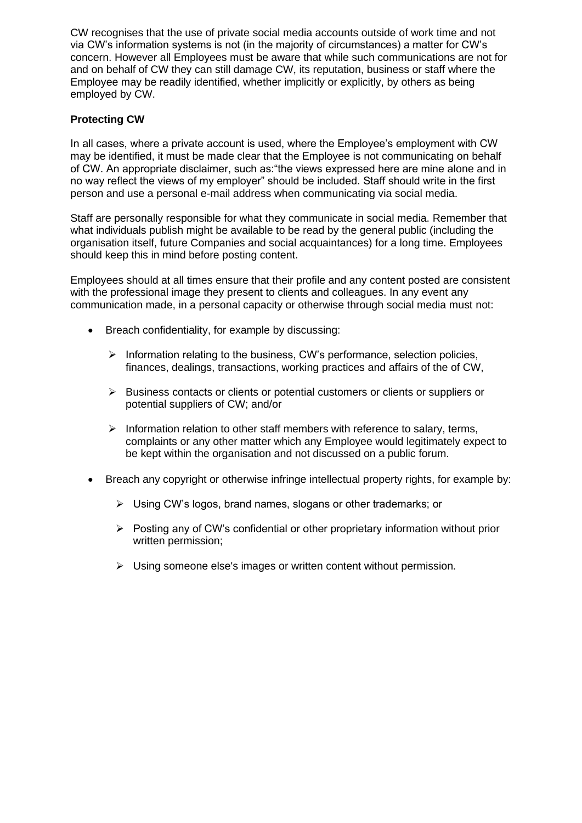CW recognises that the use of private social media accounts outside of work time and not via CW's information systems is not (in the majority of circumstances) a matter for CW's concern. However all Employees must be aware that while such communications are not for and on behalf of CW they can still damage CW, its reputation, business or staff where the Employee may be readily identified, whether implicitly or explicitly, by others as being employed by CW.

## **Protecting CW**

In all cases, where a private account is used, where the Employee's employment with CW may be identified, it must be made clear that the Employee is not communicating on behalf of CW. An appropriate disclaimer, such as:"the views expressed here are mine alone and in no way reflect the views of my employer" should be included. Staff should write in the first person and use a personal e-mail address when communicating via social media.

Staff are personally responsible for what they communicate in social media. Remember that what individuals publish might be available to be read by the general public (including the organisation itself, future Companies and social acquaintances) for a long time. Employees should keep this in mind before posting content.

Employees should at all times ensure that their profile and any content posted are consistent with the professional image they present to clients and colleagues. In any event any communication made, in a personal capacity or otherwise through social media must not:

- Breach confidentiality, for example by discussing:
	- ➢ Information relating to the business, CW's performance, selection policies, finances, dealings, transactions, working practices and affairs of the of CW,
	- ➢ Business contacts or clients or potential customers or clients or suppliers or potential suppliers of CW; and/or
	- $\triangleright$  Information relation to other staff members with reference to salary, terms, complaints or any other matter which any Employee would legitimately expect to be kept within the organisation and not discussed on a public forum.
- Breach any copyright or otherwise infringe intellectual property rights, for example by:
	- ➢ Using CW's logos, brand names, slogans or other trademarks; or
	- ➢ Posting any of CW's confidential or other proprietary information without prior written permission;
	- ➢ Using someone else's images or written content without permission.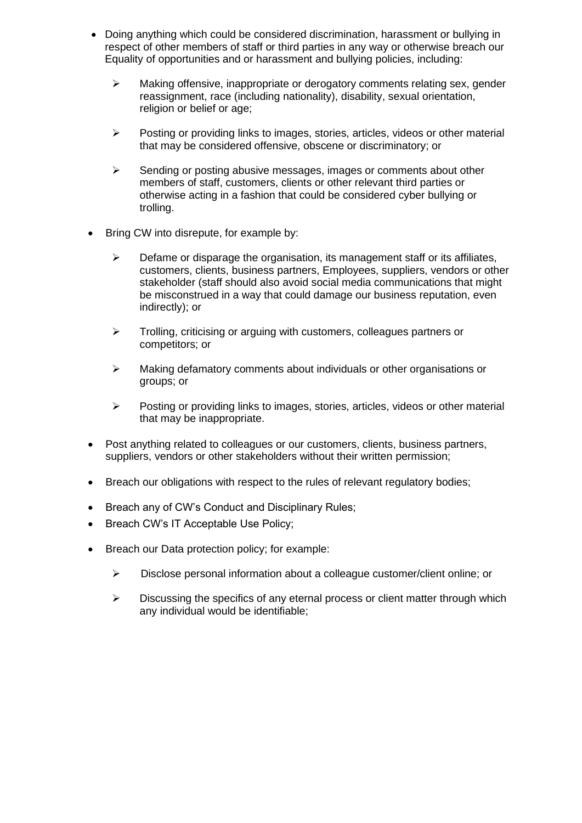- Doing anything which could be considered discrimination, harassment or bullying in respect of other members of staff or third parties in any way or otherwise breach our Equality of opportunities and or harassment and bullying policies, including:
	- ➢ Making offensive, inappropriate or derogatory comments relating sex, gender reassignment, race (including nationality), disability, sexual orientation, religion or belief or age;
	- ➢ Posting or providing links to images, stories, articles, videos or other material that may be considered offensive, obscene or discriminatory; or
	- $\triangleright$  Sending or posting abusive messages, images or comments about other members of staff, customers, clients or other relevant third parties or otherwise acting in a fashion that could be considered cyber bullying or trolling.
- Bring CW into disrepute, for example by:
	- $\triangleright$  Defame or disparage the organisation, its management staff or its affiliates, customers, clients, business partners, Employees, suppliers, vendors or other stakeholder (staff should also avoid social media communications that might be misconstrued in a way that could damage our business reputation, even indirectly); or
	- ➢ Trolling, criticising or arguing with customers, colleagues partners or competitors; or
	- ➢ Making defamatory comments about individuals or other organisations or groups; or
	- $\triangleright$  Posting or providing links to images, stories, articles, videos or other material that may be inappropriate.
- Post anything related to colleagues or our customers, clients, business partners, suppliers, vendors or other stakeholders without their written permission;
- Breach our obligations with respect to the rules of relevant regulatory bodies;
- Breach any of CW's Conduct and Disciplinary Rules;
- Breach CW's IT Acceptable Use Policy;
- Breach our Data protection policy; for example:
	- ➢ Disclose personal information about a colleague customer/client online; or
	- $\triangleright$  Discussing the specifics of any eternal process or client matter through which any individual would be identifiable;